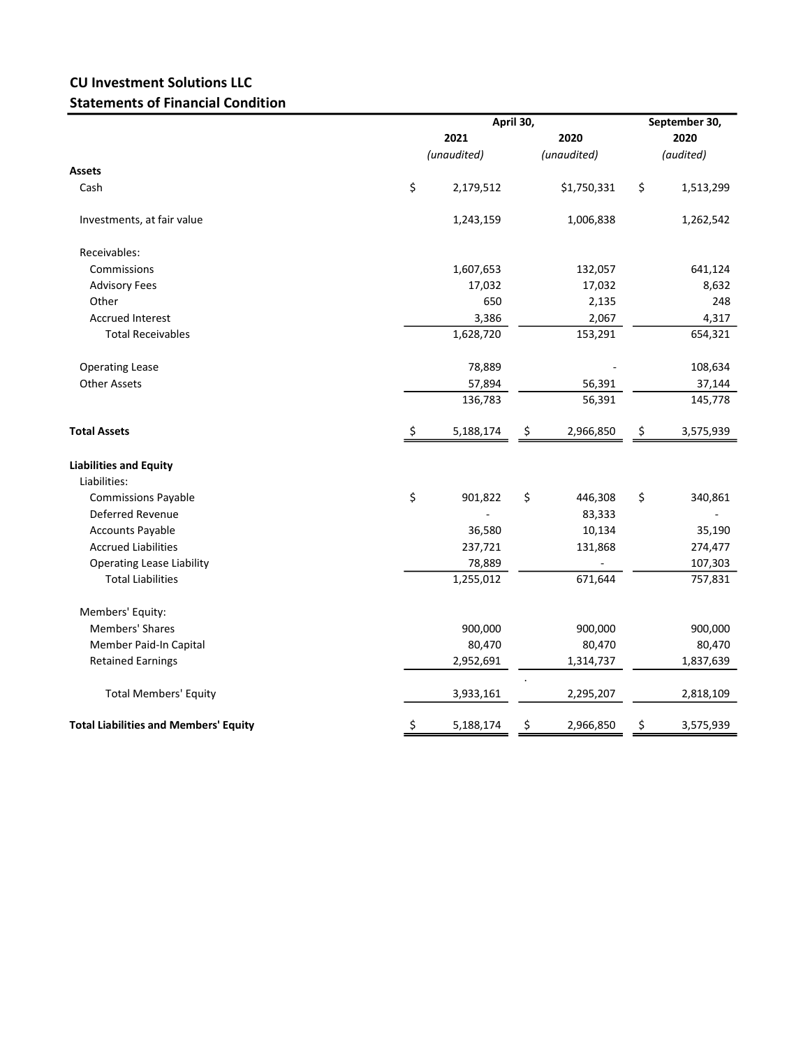## CU Investment Solutions LLC Statements of Financial Condition

|                                              |             | April 30, |      |             |    | September 30, |  |  |
|----------------------------------------------|-------------|-----------|------|-------------|----|---------------|--|--|
|                                              |             | 2021      | 2020 |             |    | 2020          |  |  |
|                                              | (unaudited) |           |      | (unaudited) |    | (audited)     |  |  |
| <b>Assets</b>                                |             |           |      |             |    |               |  |  |
| Cash                                         | \$          | 2,179,512 |      | \$1,750,331 | \$ | 1,513,299     |  |  |
| Investments, at fair value                   |             | 1,243,159 |      | 1,006,838   |    | 1,262,542     |  |  |
| Receivables:                                 |             |           |      |             |    |               |  |  |
| Commissions                                  |             | 1,607,653 |      | 132,057     |    | 641,124       |  |  |
| <b>Advisory Fees</b>                         |             | 17,032    |      | 17,032      |    | 8,632         |  |  |
| Other                                        |             | 650       |      | 2,135       |    | 248           |  |  |
| <b>Accrued Interest</b>                      |             | 3,386     |      | 2,067       |    | 4,317         |  |  |
| <b>Total Receivables</b>                     |             | 1,628,720 |      | 153,291     |    | 654,321       |  |  |
| <b>Operating Lease</b>                       |             | 78,889    |      |             |    | 108,634       |  |  |
| <b>Other Assets</b>                          |             | 57,894    |      | 56,391      |    | 37,144        |  |  |
|                                              |             | 136,783   |      | 56,391      |    | 145,778       |  |  |
| <b>Total Assets</b>                          | \$          | 5,188,174 | \$   | 2,966,850   | \$ | 3,575,939     |  |  |
| <b>Liabilities and Equity</b>                |             |           |      |             |    |               |  |  |
| Liabilities:                                 |             |           |      |             |    |               |  |  |
| <b>Commissions Payable</b>                   | \$          | 901,822   | \$   | 446,308     | \$ | 340,861       |  |  |
| <b>Deferred Revenue</b>                      |             |           |      | 83,333      |    |               |  |  |
| <b>Accounts Payable</b>                      |             | 36,580    |      | 10,134      |    | 35,190        |  |  |
| <b>Accrued Liabilities</b>                   |             | 237,721   |      | 131,868     |    | 274,477       |  |  |
| <b>Operating Lease Liability</b>             |             | 78,889    |      |             |    | 107,303       |  |  |
| <b>Total Liabilities</b>                     |             | 1,255,012 |      | 671,644     |    | 757,831       |  |  |
| Members' Equity:                             |             |           |      |             |    |               |  |  |
| <b>Members' Shares</b>                       |             | 900,000   |      | 900,000     |    | 900,000       |  |  |
| Member Paid-In Capital                       |             | 80,470    |      | 80,470      |    | 80,470        |  |  |
| <b>Retained Earnings</b>                     |             | 2,952,691 |      | 1,314,737   |    | 1,837,639     |  |  |
| <b>Total Members' Equity</b>                 |             | 3,933,161 |      | 2,295,207   |    | 2,818,109     |  |  |
| <b>Total Liabilities and Members' Equity</b> | \$          | 5,188,174 | \$   | 2,966,850   | \$ | 3,575,939     |  |  |
|                                              |             |           |      |             |    |               |  |  |